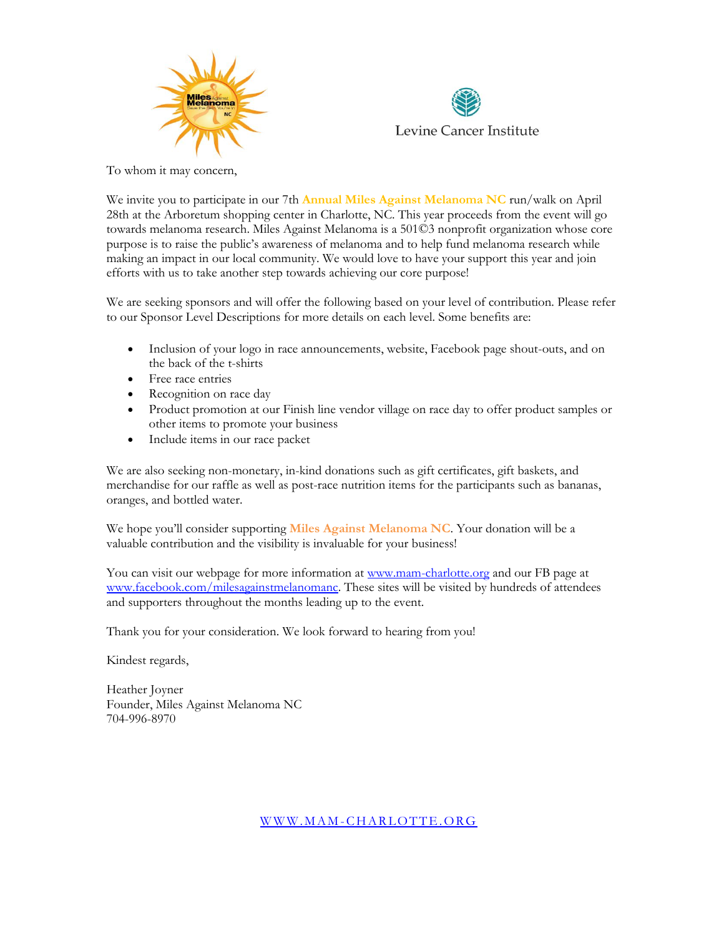



j. To whom it may concern,

We invite you to participate in our 7th **Annual Miles Against Melanoma NC** run/walk on April 28th at the Arboretum shopping center in Charlotte, NC. This year proceeds from the event will go towards melanoma research. Miles Against Melanoma is a 501©3 nonprofit organization whose core purpose is to raise the public's awareness of melanoma and to help fund melanoma research while making an impact in our local community. We would love to have your support this year and join efforts with us to take another step towards achieving our core purpose!

We are seeking sponsors and will offer the following based on your level of contribution. Please refer to our Sponsor Level Descriptions for more details on each level. Some benefits are:

- Inclusion of your logo in race announcements, website, Facebook page shout-outs, and on the back of the t-shirts
- Free race entries
- Recognition on race day
- Product promotion at our Finish line vendor village on race day to offer product samples or other items to promote your business
- Include items in our race packet

We are also seeking non-monetary, in-kind donations such as gift certificates, gift baskets, and merchandise for our raffle as well as post-race nutrition items for the participants such as bananas, oranges, and bottled water.

We hope you'll consider supporting **Miles Against Melanoma NC**. Your donation will be a valuable contribution and the visibility is invaluable for your business!

You can visit our webpage for more information at [www.mam-charlotte.org](http://www.mam-charlotte.org/) and our FB page at [www.facebook.com/milesagainstmelanomanc.](http://www.facebook.com/milesagainstmelanomanc) These sites will be visited by hundreds of attendees and supporters throughout the months leading up to the event.

Thank you for your consideration. We look forward to hearing from you!

Kindest regards,

Heather Joyner Founder, Miles Against Melanoma NC 704-996-8970

W W W . M A M [-C H A R LO T T E. O R G](http://www.mam-charlotte.org/)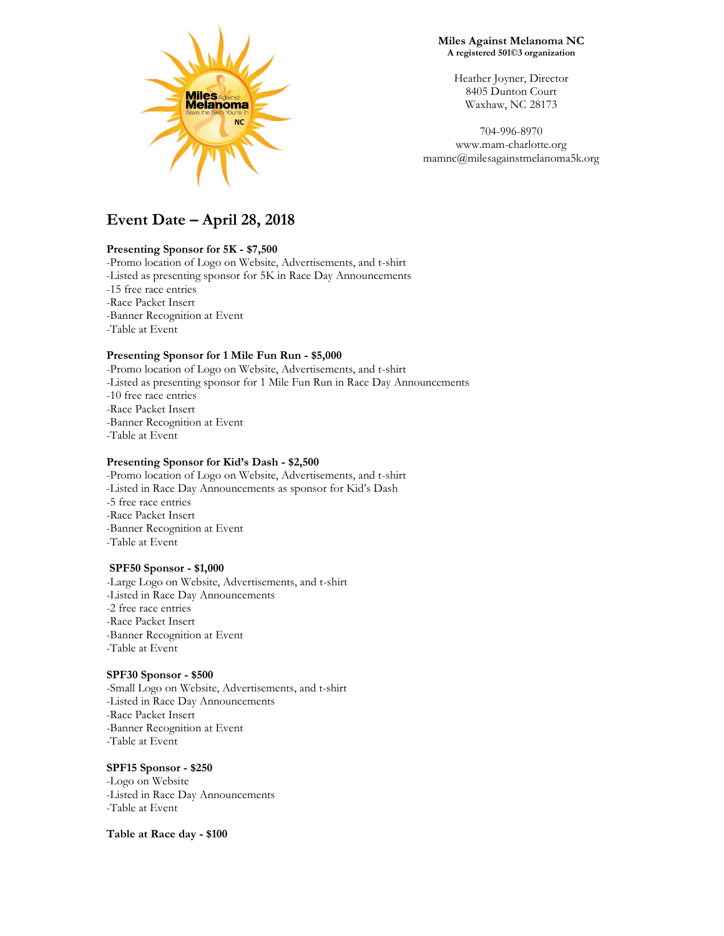

**Miles Against Melanoma NC A registered 501©3 organization**

Heather Joyner, Director 8405 Dunton Court Waxhaw, NC 28173

704-996-8970 www.mam-charlotte.org mamnc@milesagainstmelanoma5k.org

# **Event Date – April 28, 2018**

#### **Presenting Sponsor for 5K - \$7,500**

-Promo location of Logo on Website, Advertisements, and t-shirt -Listed as presenting sponsor for 5K in Race Day Announcements -15 free race entries -Race Packet Insert -Banner Recognition at Event -Table at Event

#### **Presenting Sponsor for 1 Mile Fun Run - \$5,000**

-Promo location of Logo on Website, Advertisements, and t-shirt -Listed as presenting sponsor for 1 Mile Fun Run in Race Day Announcements -10 free race entries -Race Packet Insert -Banner Recognition at Event -Table at Event

#### **Presenting Sponsor for Kid's Dash - \$2,500**

-Promo location of Logo on Website, Advertisements, and t-shirt -Listed in Race Day Announcements as sponsor for Kid's Dash -5 free race entries -Race Packet Insert -Banner Recognition at Event -Table at Event

#### **SPF50 Sponsor - \$1,000**

-Large Logo on Website, Advertisements, and t-shirt -Listed in Race Day Announcements -2 free race entries -Race Packet Insert -Banner Recognition at Event -Table at Event

#### **SPF30 Sponsor - \$500**

-Small Logo on Website, Advertisements, and t-shirt -Listed in Race Day Announcements -Race Packet Insert -Banner Recognition at Event -Table at Event

### **SPF15 Sponsor - \$250**

-Logo on Website -Listed in Race Day Announcements -Table at Event

**Table at Race day - \$100**